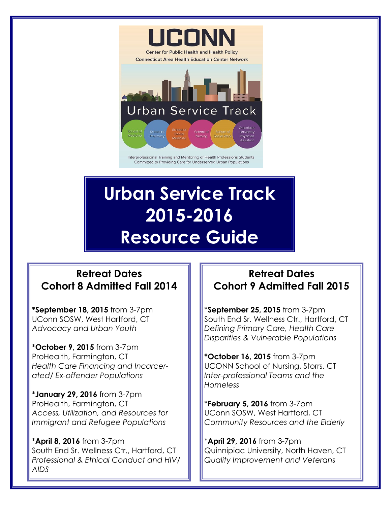

Committed to Providing Care for Underserved Urban Populations

# **Urban Service Track 2015-2016 Resource Guide**

# **Retreat Dates Cohort 8 Admitted Fall 2014**

**\*September 18, 2015** from 3-7pm UConn SOSW, West Hartford, CT *Advocacy and Urban Youth*

\***October 9, 2015** from 3-7pm ProHealth, Farmington, CT *Health Care Financing and Incarcerated/ Ex-offender Populations*

\***January 29, 2016** from 3-7pm ProHealth, Farmington, CT *Access, Utilization, and Resources for Immigrant and Refugee Populations*

\***April 8, 2016** from 3-7pm South End Sr. Wellness Ctr., Hartford, CT *Professional & Ethical Conduct and HIV/ AIDS*

# **Retreat Dates Cohort 9 Admitted Fall 2015**

\***September 25, 2015** from 3-7pm South End Sr. Wellness Ctr., Hartford, CT *Defining Primary Care, Health Care Disparities & Vulnerable Populations*

**\*October 16, 2015** from 3-7pm UCONN School of Nursing, Storrs, CT *Inter-professional Teams and the Homeless*

\***February 5, 2016** from 3-7pm UConn SOSW, West Hartford, CT *Community Resources and the Elderly*

\***April 29, 2016** from 3-7pm Quinnipiac University, North Haven, CT *Quality Improvement and Veterans*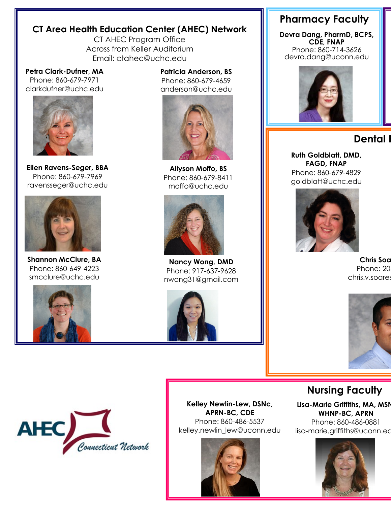#### **CT Area Health Education Center (AHEC) Network**

CT AHEC Program Office Across from Keller Auditorium Email: ctahec@uchc.edu

#### **Petra Clark-Dufner, MA**

Phone: 860-679-7971 clarkdufner@uchc.edu



**Ellen Ravens-Seger, BBA** Phone: 860-679-7969 ravensseger@uchc.edu



**Shannon McClure, BA** Phone: 860-649-4223 smcclure@uchc.edu



**Patricia Anderson, BS** Phone: 860-679-4659 anderson@uchc.edu



**Allyson Moffo, BS** Phone: 860-679-8411 moffo@uchc.edu



**Nancy Wong, DMD** Phone: 917-637-9628 nwong31@gmail.com



## **Pharmacy Faculty**

**Devra Dang, PharmD, BCPS, CDE, FNAP** Phone: 860-714-3626 devra.dang@uconn.edu



#### Dental

**Ruth Goldblatt, DMD, FAGD, FNAP** Phone: 860-679-4829 goldblatt@uchc.edu



**Chris Soa** Phone: 20 chris.v.soares



#### **Nursing Faculty**

**Lisa-Marie Griffiths, MA, MSN, WHNP-BC, APRN** Phone: 860-486-0881 lisa-marie.griffiths@uconn.ed





**Kelley Newlin-Lew, DSNc, APRN-BC, CDE** Phone: 860-486-5537 kelley.newlin\_lew@uconn.edu

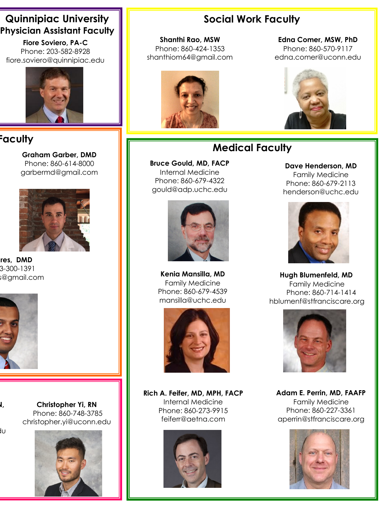## **Quinnipiac University Physician Assistant Faculty**

**Fiore Soviero, PA-C** Phone: 203-582-8928 fiore.soviero@quinnipiac.edu



# **Paculty**

**Graham Garber, DMD** Phone: 860-614-8000 garbermd@gmail.com



res, DMD Phone: 203-300-1391 s@gmail.com



**Lisa-Marie Griffiths, MA, MSN,** 

 $10$ 

**Christopher Yi, RN** Phone: 860-748-3785 christopher.yi@uconn.edu



# **Social Work Faculty**

**Shanthi Rao, MSW** Phone: 860-424-1353 [shanthiom64@gmail.com](mailto:shanthiom64@gmail.com)



**Edna Comer, MSW, PhD** Phone: 860-570-9117 edna.comer@uconn.edu



# **Medical Faculty**

**Bruce Gould, MD, FACP** Internal Medicine Phone: 860-679-4322 gould@adp.uchc.edu



**Kenia Mansilla, MD** Family Medicine Phone: 860-679-4539 mansilla@uchc.edu



**Rich A. Feifer, MD, MPH, FACP** Internal Medicine Phone: 860-273-9915 [feiferr@aetna.com](mailto:FeiferR@aetna.com)



**Dave Henderson, MD** Family Medicine Phone: 860-679-2113 henderson@uchc.edu



**Hugh Blumenfeld, MD** Family Medicine Phone: 860-714-1414 hblumenf@stfranciscare.org



**Adam E. Perrin, MD, FAAFP** Family Medicine Phone: 860-227-3361 aperrin@stfranciscare.org